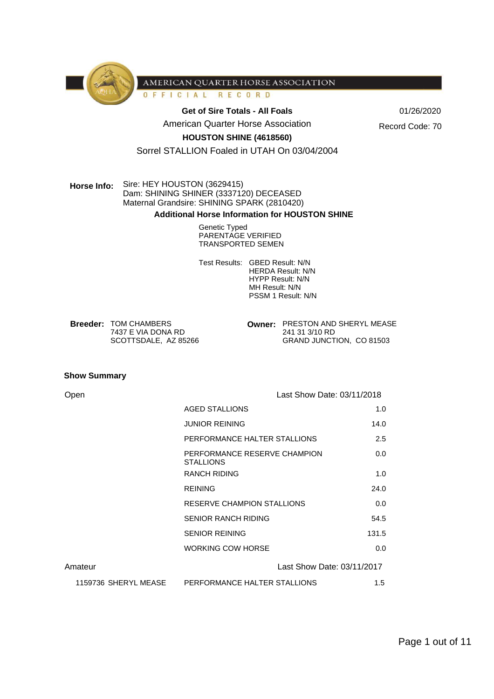

OFFICIAL RECORD

Get of Sire Totals - All Foals **COMPASHER 12 01/26/2020** 

American Quarter Horse Association

Record Code: 70

## **HOUSTON SHINE (4618560)**

Sorrel STALLION Foaled in UTAH On 03/04/2004

# **Horse Info:** Sire: HEY HOUSTON (3629415) Dam: SHINING SHINER (3337120) DECEASED Maternal Grandsire: SHINING SPARK (2810420)

#### **Additional Horse Information for HOUSTON SHINE**

Genetic Typed PARENTAGE VERIFIED TRANSPORTED SEMEN

Test Results: GBED Result: N/N HERDA Result: N/N HYPP Result: N/N MH Result: N/N PSSM 1 Result: N/N

**Breeder: TOM CHAMBERS** 7437 E VIA DONA RD SCOTTSDALE, AZ 85266 **Owner: PRESTON AND SHERYL MEASE** 241 31 3/10 RD GRAND JUNCTION, CO 81503

#### **Show Summary**

| Open                 |                                                  | Last Show Date: 03/11/2018 |
|----------------------|--------------------------------------------------|----------------------------|
|                      | <b>AGED STALLIONS</b>                            | 1.0                        |
|                      | <b>JUNIOR REINING</b>                            | 14.0                       |
|                      | PERFORMANCE HALTER STALLIONS                     | 2.5                        |
|                      | PERFORMANCE RESERVE CHAMPION<br><b>STALLIONS</b> | 0.0                        |
|                      | <b>RANCH RIDING</b>                              | 1.0                        |
|                      | <b>REINING</b>                                   | 24.0                       |
|                      | RESERVE CHAMPION STALLIONS                       | 0.0                        |
|                      | <b>SENIOR RANCH RIDING</b>                       | 54.5                       |
|                      | <b>SENIOR REINING</b>                            | 131.5                      |
|                      | <b>WORKING COW HORSE</b>                         | 0.0                        |
| Amateur              |                                                  | Last Show Date: 03/11/2017 |
| 1159736 SHERYL MEASE | PERFORMANCE HALTER STALLIONS                     | 1.5                        |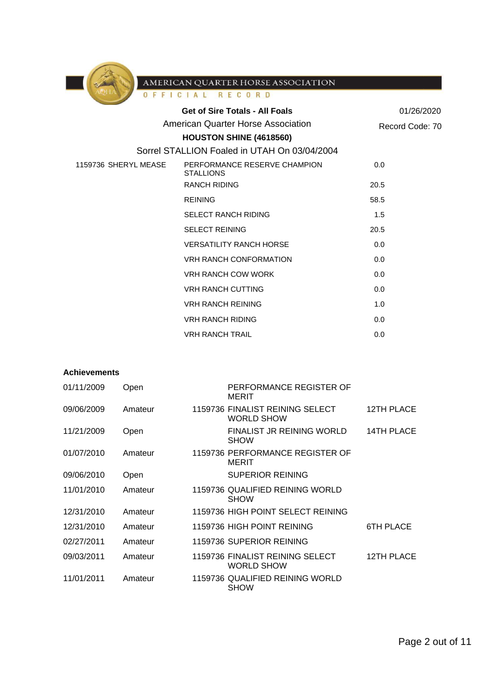

| AQHA                 | OFFICIAL RECORD                                  |                 |
|----------------------|--------------------------------------------------|-----------------|
|                      | <b>Get of Sire Totals - All Foals</b>            | 01/26/2020      |
|                      | <b>American Quarter Horse Association</b>        | Record Code: 70 |
|                      | HOUSTON SHINE (4618560)                          |                 |
|                      | Sorrel STALLION Foaled in UTAH On 03/04/2004     |                 |
| 1159736 SHERYL MEASE | PERFORMANCE RESERVE CHAMPION<br><b>STALLIONS</b> | 0.0             |
|                      | <b>RANCH RIDING</b>                              | 20.5            |
|                      | <b>REINING</b>                                   | 58.5            |
|                      | <b>SELECT RANCH RIDING</b>                       | 1.5             |
|                      | <b>SELECT REINING</b>                            | 20.5            |
|                      | <b>VERSATILITY RANCH HORSE</b>                   | 0.0             |
|                      | <b>VRH RANCH CONFORMATION</b>                    | 0.0             |
|                      | <b>VRH RANCH COW WORK</b>                        | 0.0             |
|                      | <b>VRH RANCH CUTTING</b>                         | 0.0             |
|                      | <b>VRH RANCH REINING</b>                         | 1.0             |
|                      | <b>VRH RANCH RIDING</b>                          | 0.0             |
|                      | <b>VRH RANCH TRAIL</b>                           | 0.0             |

## **Achievements**

| 01/11/2009 | Open    | PERFORMANCE REGISTER OF<br><b>MERIT</b>              |                  |
|------------|---------|------------------------------------------------------|------------------|
| 09/06/2009 | Amateur | 1159736 FINALIST REINING SELECT<br><b>WORLD SHOW</b> | 12TH PLACE       |
| 11/21/2009 | Open    | FINALIST JR REINING WORLD<br><b>SHOW</b>             | 14TH PLACE       |
| 01/07/2010 | Amateur | 1159736 PERFORMANCE REGISTER OF<br><b>MERIT</b>      |                  |
| 09/06/2010 | Open    | <b>SUPERIOR REINING</b>                              |                  |
| 11/01/2010 | Amateur | 1159736 QUALIFIED REINING WORLD<br><b>SHOW</b>       |                  |
| 12/31/2010 | Amateur | 1159736 HIGH POINT SELECT REINING                    |                  |
| 12/31/2010 | Amateur | 1159736 HIGH POINT REINING                           | <b>6TH PLACE</b> |
| 02/27/2011 | Amateur | 1159736 SUPERIOR REINING                             |                  |
| 09/03/2011 | Amateur | 1159736 FINALIST REINING SELECT<br><b>WORLD SHOW</b> | 12TH PLACE       |
| 11/01/2011 | Amateur | 1159736 QUALIFIED REINING WORLD<br><b>SHOW</b>       |                  |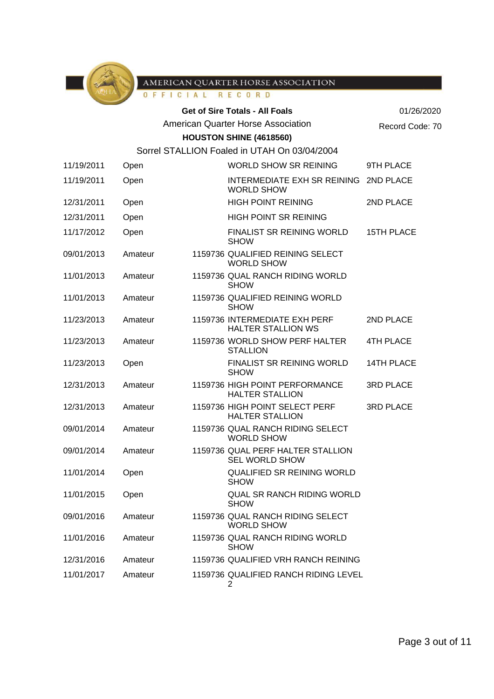

RECORD OFFICIAL

|            |         | $0 + n + 1$ |                                                            |                   |
|------------|---------|-------------|------------------------------------------------------------|-------------------|
|            |         |             | <b>Get of Sire Totals - All Foals</b>                      | 01/26/2020        |
|            |         |             | <b>American Quarter Horse Association</b>                  | Record Code: 70   |
|            |         |             | HOUSTON SHINE (4618560)                                    |                   |
|            |         |             | Sorrel STALLION Foaled in UTAH On 03/04/2004               |                   |
| 11/19/2011 | Open    |             | WORLD SHOW SR REINING                                      | 9TH PLACE         |
| 11/19/2011 | Open    |             | INTERMEDIATE EXH SR REINING 2ND PLACE<br><b>WORLD SHOW</b> |                   |
| 12/31/2011 | Open    |             | <b>HIGH POINT REINING</b>                                  | 2ND PLACE         |
| 12/31/2011 | Open    |             | HIGH POINT SR REINING                                      |                   |
| 11/17/2012 | Open    |             | <b>FINALIST SR REINING WORLD</b><br><b>SHOW</b>            | <b>15TH PLACE</b> |
| 09/01/2013 | Amateur |             | 1159736 QUALIFIED REINING SELECT<br><b>WORLD SHOW</b>      |                   |
| 11/01/2013 | Amateur |             | 1159736 QUAL RANCH RIDING WORLD<br><b>SHOW</b>             |                   |
| 11/01/2013 | Amateur |             | 1159736 QUALIFIED REINING WORLD<br><b>SHOW</b>             |                   |
| 11/23/2013 | Amateur |             | 1159736 INTERMEDIATE EXH PERF<br><b>HALTER STALLION WS</b> | 2ND PLACE         |
| 11/23/2013 | Amateur |             | 1159736 WORLD SHOW PERF HALTER<br><b>STALLION</b>          | <b>4TH PLACE</b>  |
| 11/23/2013 | Open    |             | <b>FINALIST SR REINING WORLD</b><br><b>SHOW</b>            | <b>14TH PLACE</b> |
| 12/31/2013 | Amateur |             | 1159736 HIGH POINT PERFORMANCE<br><b>HALTER STALLION</b>   | <b>3RD PLACE</b>  |
| 12/31/2013 | Amateur |             | 1159736 HIGH POINT SELECT PERF<br><b>HALTER STALLION</b>   | <b>3RD PLACE</b>  |
| 09/01/2014 | Amateur |             | 1159736 QUAL RANCH RIDING SELECT<br><b>WORLD SHOW</b>      |                   |
| 09/01/2014 | Amateur |             | 1159736 QUAL PERF HALTER STALLION<br><b>SEL WORLD SHOW</b> |                   |
| 11/01/2014 | Open    |             | QUALIFIED SR REINING WORLD<br><b>SHOW</b>                  |                   |
| 11/01/2015 | Open    |             | <b>QUAL SR RANCH RIDING WORLD</b><br><b>SHOW</b>           |                   |
| 09/01/2016 | Amateur |             | 1159736 QUAL RANCH RIDING SELECT<br><b>WORLD SHOW</b>      |                   |
| 11/01/2016 | Amateur |             | 1159736 QUAL RANCH RIDING WORLD<br><b>SHOW</b>             |                   |
| 12/31/2016 | Amateur |             | 1159736 QUALIFIED VRH RANCH REINING                        |                   |
| 11/01/2017 | Amateur |             | 1159736 QUALIFIED RANCH RIDING LEVEL<br>$\overline{2}$     |                   |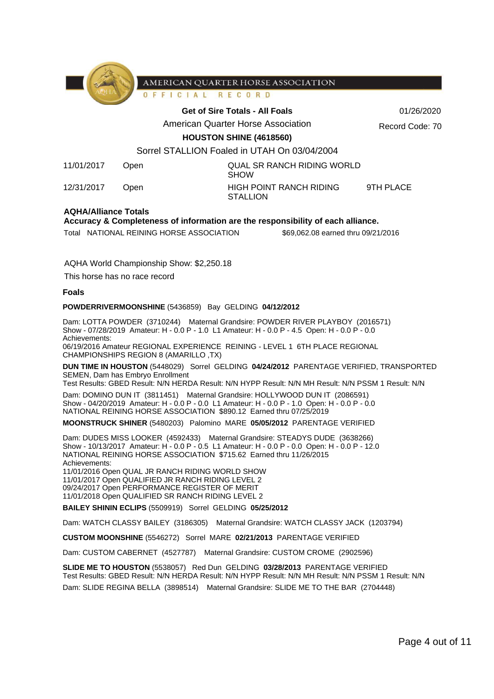

FICIAL RECORD  $0 F$ 

#### **Get of Sire Totals - All Foals** 01/26/2020

American Quarter Horse Association

Record Code: 70

**HOUSTON SHINE (4618560)**

# Sorrel STALLION Foaled in UTAH On 03/04/2004

11/01/2017 Open QUAL SR RANCH RIDING WORLD

SHOW 12/31/2017 Open HIGH POINT RANCH RIDING **STALLION** 

9TH PLACE

#### **AQHA/Alliance Totals**

**Accuracy & Completeness of information are the responsibility of each alliance.**

Total NATIONAL REINING HORSE ASSOCIATION \$69,062.08 earned thru 09/21/2016

AQHA World Championship Show: \$2,250.18

This horse has no race record

#### **Foals**

#### **POWDERRIVERMOONSHINE** (5436859) Bay GELDING **04/12/2012**

Dam: LOTTA POWDER (3710244) Maternal Grandsire: POWDER RIVER PLAYBOY (2016571) Show - 07/28/2019 Amateur: H - 0.0 P - 1.0 L1 Amateur: H - 0.0 P - 4.5 Open: H - 0.0 P - 0.0 Achievements:

06/19/2016 Amateur REGIONAL EXPERIENCE REINING - LEVEL 1 6TH PLACE REGIONAL CHAMPIONSHIPS REGION 8 (AMARILLO ,TX)

**DUN TIME IN HOUSTON** (5448029) Sorrel GELDING **04/24/2012** PARENTAGE VERIFIED, TRANSPORTED SEMEN, Dam has Embryo Enrollment

Test Results: GBED Result: N/N HERDA Result: N/N HYPP Result: N/N MH Result: N/N PSSM 1 Result: N/N

Dam: DOMINO DUN IT (3811451) Maternal Grandsire: HOLLYWOOD DUN IT (2086591) Show - 04/20/2019 Amateur: H - 0.0 P - 0.0 L1 Amateur: H - 0.0 P - 1.0 Open: H - 0.0 P - 0.0 NATIONAL REINING HORSE ASSOCIATION \$890.12 Earned thru 07/25/2019

**MOONSTRUCK SHINER** (5480203) Palomino MARE **05/05/2012** PARENTAGE VERIFIED

Dam: DUDES MISS LOOKER (4592433) Maternal Grandsire: STEADYS DUDE (3638266) Show - 10/13/2017 Amateur: H - 0.0 P - 0.5 L1 Amateur: H - 0.0 P - 0.0 Open: H - 0.0 P - 12.0 NATIONAL REINING HORSE ASSOCIATION \$715.62 Earned thru 11/26/2015 Achievements: 11/01/2016 Open QUAL JR RANCH RIDING WORLD SHOW 11/01/2017 Open QUALIFIED JR RANCH RIDING LEVEL 2 09/24/2017 Open PERFORMANCE REGISTER OF MERIT

11/01/2018 Open QUALIFIED SR RANCH RIDING LEVEL 2

**BAILEY SHININ ECLIPS** (5509919) Sorrel GELDING **05/25/2012**

Dam: WATCH CLASSY BAILEY (3186305) Maternal Grandsire: WATCH CLASSY JACK (1203794)

**CUSTOM MOONSHINE** (5546272) Sorrel MARE **02/21/2013** PARENTAGE VERIFIED

Dam: CUSTOM CABERNET (4527787) Maternal Grandsire: CUSTOM CROME (2902596)

**SLIDE ME TO HOUSTON** (5538057) Red Dun GELDING **03/28/2013** PARENTAGE VERIFIED Test Results: GBED Result: N/N HERDA Result: N/N HYPP Result: N/N MH Result: N/N PSSM 1 Result: N/N Dam: SLIDE REGINA BELLA (3898514) Maternal Grandsire: SLIDE ME TO THE BAR (2704448)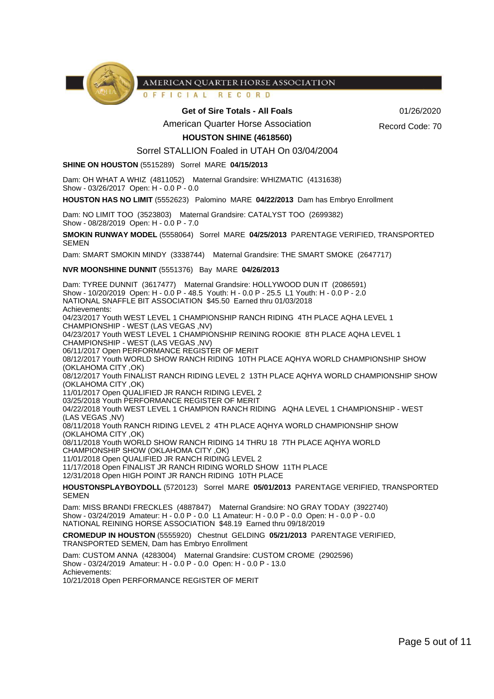

OFFICIAL RECORD

#### Get of Sire Totals - All Foals **Community 61/26/2020**

American Quarter Horse Association

Record Code: 70

**HOUSTON SHINE (4618560)**

Sorrel STALLION Foaled in UTAH On 03/04/2004

**SHINE ON HOUSTON** (5515289) Sorrel MARE **04/15/2013**

Dam: OH WHAT A WHIZ (4811052) Maternal Grandsire: WHIZMATIC (4131638) Show - 03/26/2017 Open: H - 0.0 P - 0.0

**HOUSTON HAS NO LIMIT** (5552623) Palomino MARE **04/22/2013** Dam has Embryo Enrollment

Dam: NO LIMIT TOO (3523803) Maternal Grandsire: CATALYST TOO (2699382) Show - 08/28/2019 Open: H - 0.0 P - 7.0

**SMOKIN RUNWAY MODEL** (5558064) Sorrel MARE **04/25/2013** PARENTAGE VERIFIED, TRANSPORTED SEMEN

Dam: SMART SMOKIN MINDY (3338744) Maternal Grandsire: THE SMART SMOKE (2647717)

#### **NVR MOONSHINE DUNNIT** (5551376) Bay MARE **04/26/2013**

Dam: TYREE DUNNIT (3617477) Maternal Grandsire: HOLLYWOOD DUN IT (2086591) Show - 10/20/2019 Open: H - 0.0 P - 48.5 Youth: H - 0.0 P - 25.5 L1 Youth: H - 0.0 P - 2.0 NATIONAL SNAFFLE BIT ASSOCIATION \$45.50 Earned thru 01/03/2018 Achievements: 04/23/2017 Youth WEST LEVEL 1 CHAMPIONSHIP RANCH RIDING 4TH PLACE AQHA LEVEL 1 CHAMPIONSHIP - WEST (LAS VEGAS ,NV) 04/23/2017 Youth WEST LEVEL 1 CHAMPIONSHIP REINING ROOKIE 8TH PLACE AQHA LEVEL 1 CHAMPIONSHIP - WEST (LAS VEGAS ,NV) 06/11/2017 Open PERFORMANCE REGISTER OF MERIT 08/12/2017 Youth WORLD SHOW RANCH RIDING 10TH PLACE AQHYA WORLD CHAMPIONSHIP SHOW (OKLAHOMA CITY ,OK) 08/12/2017 Youth FINALIST RANCH RIDING LEVEL 2 13TH PLACE AQHYA WORLD CHAMPIONSHIP SHOW (OKLAHOMA CITY ,OK) 11/01/2017 Open QUALIFIED JR RANCH RIDING LEVEL 2 03/25/2018 Youth PERFORMANCE REGISTER OF MERIT 04/22/2018 Youth WEST LEVEL 1 CHAMPION RANCH RIDING AQHA LEVEL 1 CHAMPIONSHIP - WEST (LAS VEGAS ,NV) 08/11/2018 Youth RANCH RIDING LEVEL 2 4TH PLACE AQHYA WORLD CHAMPIONSHIP SHOW (OKLAHOMA CITY ,OK) 08/11/2018 Youth WORLD SHOW RANCH RIDING 14 THRU 18 7TH PLACE AQHYA WORLD CHAMPIONSHIP SHOW (OKLAHOMA CITY ,OK) 11/01/2018 Open QUALIFIED JR RANCH RIDING LEVEL 2 11/17/2018 Open FINALIST JR RANCH RIDING WORLD SHOW 11TH PLACE 12/31/2018 Open HIGH POINT JR RANCH RIDING 10TH PLACE **HOUSTONSPLAYBOYDOLL** (5720123) Sorrel MARE **05/01/2013** PARENTAGE VERIFIED, TRANSPORTED SEMEN

Dam: MISS BRANDI FRECKLES (4887847) Maternal Grandsire: NO GRAY TODAY (3922740) Show - 03/24/2019 Amateur: H - 0.0 P - 0.0 L1 Amateur: H - 0.0 P - 0.0 Open: H - 0.0 P - 0.0 NATIONAL REINING HORSE ASSOCIATION \$48.19 Earned thru 09/18/2019

**CROMEDUP IN HOUSTON** (5555920) Chestnut GELDING **05/21/2013** PARENTAGE VERIFIED, TRANSPORTED SEMEN, Dam has Embryo Enrollment

Dam: CUSTOM ANNA (4283004) Maternal Grandsire: CUSTOM CROME (2902596) Show - 03/24/2019 Amateur: H - 0.0 P - 0.0 Open: H - 0.0 P - 13.0 Achievements:

10/21/2018 Open PERFORMANCE REGISTER OF MERIT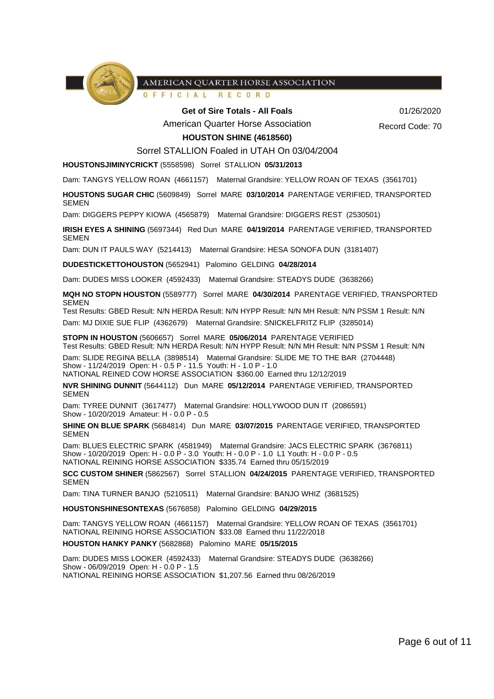

FICIAL RECORD  $0 F$ 

**Get of Sire Totals - All Foals** 01/26/2020

American Quarter Horse Association

Record Code: 70

### **HOUSTON SHINE (4618560)**

#### Sorrel STALLION Foaled in UTAH On 03/04/2004

**HOUSTONSJIMINYCRICKT** (5558598) Sorrel STALLION **05/31/2013**

Dam: TANGYS YELLOW ROAN (4661157) Maternal Grandsire: YELLOW ROAN OF TEXAS (3561701)

**HOUSTONS SUGAR CHIC** (5609849) Sorrel MARE **03/10/2014** PARENTAGE VERIFIED, TRANSPORTED SEMEN

Dam: DIGGERS PEPPY KIOWA (4565879) Maternal Grandsire: DIGGERS REST (2530501)

**IRISH EYES A SHINING** (5697344) Red Dun MARE **04/19/2014** PARENTAGE VERIFIED, TRANSPORTED SEMEN

Dam: DUN IT PAULS WAY (5214413) Maternal Grandsire: HESA SONOFA DUN (3181407)

**DUDESTICKETTOHOUSTON** (5652941) Palomino GELDING **04/28/2014**

Dam: DUDES MISS LOOKER (4592433) Maternal Grandsire: STEADYS DUDE (3638266)

**MQH NO STOPN HOUSTON** (5589777) Sorrel MARE **04/30/2014** PARENTAGE VERIFIED, TRANSPORTED SEMEN

Test Results: GBED Result: N/N HERDA Result: N/N HYPP Result: N/N MH Result: N/N PSSM 1 Result: N/N Dam: MJ DIXIE SUE FLIP (4362679) Maternal Grandsire: SNICKELFRITZ FLIP (3285014)

**STOPN IN HOUSTON** (5606657) Sorrel MARE **05/06/2014** PARENTAGE VERIFIED Test Results: GBED Result: N/N HERDA Result: N/N HYPP Result: N/N MH Result: N/N PSSM 1 Result: N/N

Dam: SLIDE REGINA BELLA (3898514) Maternal Grandsire: SLIDE ME TO THE BAR (2704448) Show - 11/24/2019 Open: H - 0.5 P - 11.5 Youth: H - 1.0 P - 1.0 NATIONAL REINED COW HORSE ASSOCIATION \$360.00 Earned thru 12/12/2019

**NVR SHINING DUNNIT** (5644112) Dun MARE **05/12/2014** PARENTAGE VERIFIED, TRANSPORTED SEMEN

Dam: TYREE DUNNIT (3617477) Maternal Grandsire: HOLLYWOOD DUN IT (2086591) Show - 10/20/2019 Amateur: H - 0.0 P - 0.5

**SHINE ON BLUE SPARK** (5684814) Dun MARE **03/07/2015** PARENTAGE VERIFIED, TRANSPORTED SEMEN

Dam: BLUES ELECTRIC SPARK (4581949) Maternal Grandsire: JACS ELECTRIC SPARK (3676811) Show - 10/20/2019 Open: H - 0.0 P - 3.0 Youth: H - 0.0 P - 1.0 L1 Youth: H - 0.0 P - 0.5 NATIONAL REINING HORSE ASSOCIATION \$335.74 Earned thru 05/15/2019

**SCC CUSTOM SHINER** (5862567) Sorrel STALLION **04/24/2015** PARENTAGE VERIFIED, TRANSPORTED **SEMEN** 

Dam: TINA TURNER BANJO (5210511) Maternal Grandsire: BANJO WHIZ (3681525)

**HOUSTONSHINESONTEXAS** (5676858) Palomino GELDING **04/29/2015**

Dam: TANGYS YELLOW ROAN (4661157) Maternal Grandsire: YELLOW ROAN OF TEXAS (3561701) NATIONAL REINING HORSE ASSOCIATION \$33.08 Earned thru 11/22/2018

**HOUSTON HANKY PANKY** (5682868) Palomino MARE **05/15/2015**

Dam: DUDES MISS LOOKER (4592433) Maternal Grandsire: STEADYS DUDE (3638266) Show - 06/09/2019 Open: H - 0.0 P - 1.5 NATIONAL REINING HORSE ASSOCIATION \$1,207.56 Earned thru 08/26/2019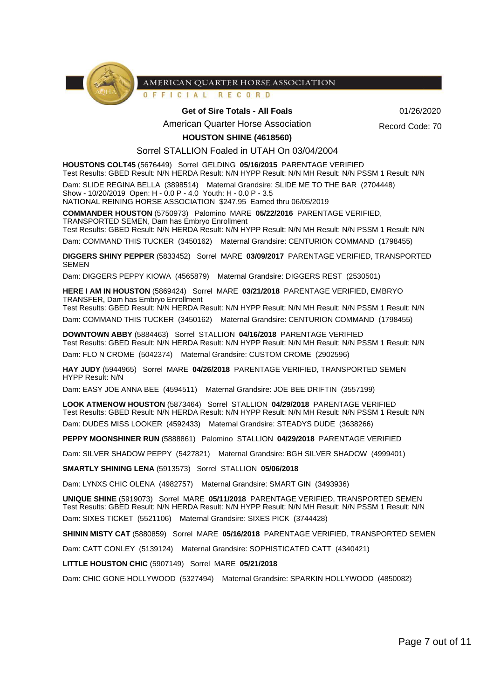

#### OFFICIAL RECORD

#### Get of Sire Totals - All Foals **Community 61/26/2020**

American Quarter Horse Association

Record Code: 70

**HOUSTON SHINE (4618560)**

#### Sorrel STALLION Foaled in UTAH On 03/04/2004

**HOUSTONS COLT45** (5676449) Sorrel GELDING **05/16/2015** PARENTAGE VERIFIED

Test Results: GBED Result: N/N HERDA Result: N/N HYPP Result: N/N MH Result: N/N PSSM 1 Result: N/N Dam: SLIDE REGINA BELLA (3898514) Maternal Grandsire: SLIDE ME TO THE BAR (2704448)

Show - 10/20/2019 Open: H - 0.0 P - 4.0 Youth: H - 0.0 P - 3.5

NATIONAL REINING HORSE ASSOCIATION \$247.95 Earned thru 06/05/2019

**COMMANDER HOUSTON** (5750973) Palomino MARE **05/22/2016** PARENTAGE VERIFIED, TRANSPORTED SEMEN, Dam has Embryo Enrollment

Test Results: GBED Result: N/N HERDA Result: N/N HYPP Result: N/N MH Result: N/N PSSM 1 Result: N/N

Dam: COMMAND THIS TUCKER (3450162) Maternal Grandsire: CENTURION COMMAND (1798455)

**DIGGERS SHINY PEPPER** (5833452) Sorrel MARE **03/09/2017** PARENTAGE VERIFIED, TRANSPORTED **SEMEN** 

Dam: DIGGERS PEPPY KIOWA (4565879) Maternal Grandsire: DIGGERS REST (2530501)

**HERE I AM IN HOUSTON** (5869424) Sorrel MARE **03/21/2018** PARENTAGE VERIFIED, EMBRYO TRANSFER, Dam has Embryo Enrollment

Test Results: GBED Result: N/N HERDA Result: N/N HYPP Result: N/N MH Result: N/N PSSM 1 Result: N/N

Dam: COMMAND THIS TUCKER (3450162) Maternal Grandsire: CENTURION COMMAND (1798455)

**DOWNTOWN ABBY** (5884463) Sorrel STALLION **04/16/2018** PARENTAGE VERIFIED Test Results: GBED Result: N/N HERDA Result: N/N HYPP Result: N/N MH Result: N/N PSSM 1 Result: N/N Dam: FLO N CROME (5042374) Maternal Grandsire: CUSTOM CROME (2902596)

**HAY JUDY** (5944965) Sorrel MARE **04/26/2018** PARENTAGE VERIFIED, TRANSPORTED SEMEN HYPP Result: N/N

Dam: EASY JOE ANNA BEE (4594511) Maternal Grandsire: JOE BEE DRIFTIN (3557199)

**LOOK ATMENOW HOUSTON** (5873464) Sorrel STALLION **04/29/2018** PARENTAGE VERIFIED Test Results: GBED Result: N/N HERDA Result: N/N HYPP Result: N/N MH Result: N/N PSSM 1 Result: N/N Dam: DUDES MISS LOOKER (4592433) Maternal Grandsire: STEADYS DUDE (3638266)

**PEPPY MOONSHINER RUN** (5888861) Palomino STALLION **04/29/2018** PARENTAGE VERIFIED

Dam: SILVER SHADOW PEPPY (5427821) Maternal Grandsire: BGH SILVER SHADOW (4999401)

**SMARTLY SHINING LENA** (5913573) Sorrel STALLION **05/06/2018**

Dam: LYNXS CHIC OLENA (4982757) Maternal Grandsire: SMART GIN (3493936)

**UNIQUE SHINE** (5919073) Sorrel MARE **05/11/2018** PARENTAGE VERIFIED, TRANSPORTED SEMEN Test Results: GBED Result: N/N HERDA Result: N/N HYPP Result: N/N MH Result: N/N PSSM 1 Result: N/N Dam: SIXES TICKET (5521106) Maternal Grandsire: SIXES PICK (3744428)

**SHININ MISTY CAT** (5880859) Sorrel MARE **05/16/2018** PARENTAGE VERIFIED, TRANSPORTED SEMEN

Dam: CATT CONLEY (5139124) Maternal Grandsire: SOPHISTICATED CATT (4340421)

**LITTLE HOUSTON CHIC** (5907149) Sorrel MARE **05/21/2018**

Dam: CHIC GONE HOLLYWOOD (5327494) Maternal Grandsire: SPARKIN HOLLYWOOD (4850082)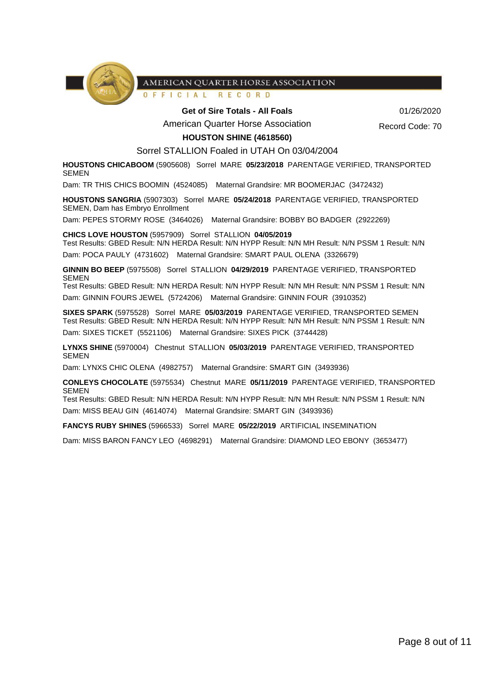

OFFICIAL RECORD

#### Get of Sire Totals - All Foals **Community 61/26/2020**

American Quarter Horse Association

Record Code: 70

## **HOUSTON SHINE (4618560)**

Sorrel STALLION Foaled in UTAH On 03/04/2004

**HOUSTONS CHICABOOM** (5905608) Sorrel MARE **05/23/2018** PARENTAGE VERIFIED, TRANSPORTED SEMEN

Dam: TR THIS CHICS BOOMIN (4524085) Maternal Grandsire: MR BOOMERJAC (3472432)

**HOUSTONS SANGRIA** (5907303) Sorrel MARE **05/24/2018** PARENTAGE VERIFIED, TRANSPORTED SEMEN, Dam has Embryo Enrollment

Dam: PEPES STORMY ROSE (3464026) Maternal Grandsire: BOBBY BO BADGER (2922269)

**CHICS LOVE HOUSTON** (5957909) Sorrel STALLION **04/05/2019**

Test Results: GBED Result: N/N HERDA Result: N/N HYPP Result: N/N MH Result: N/N PSSM 1 Result: N/N Dam: POCA PAULY (4731602) Maternal Grandsire: SMART PAUL OLENA (3326679)

**GINNIN BO BEEP** (5975508) Sorrel STALLION **04/29/2019** PARENTAGE VERIFIED, TRANSPORTED SEMEN

Test Results: GBED Result: N/N HERDA Result: N/N HYPP Result: N/N MH Result: N/N PSSM 1 Result: N/N Dam: GINNIN FOURS JEWEL (5724206) Maternal Grandsire: GINNIN FOUR (3910352)

**SIXES SPARK** (5975528) Sorrel MARE **05/03/2019** PARENTAGE VERIFIED, TRANSPORTED SEMEN Test Results: GBED Result: N/N HERDA Result: N/N HYPP Result: N/N MH Result: N/N PSSM 1 Result: N/N Dam: SIXES TICKET (5521106) Maternal Grandsire: SIXES PICK (3744428)

**LYNXS SHINE** (5970004) Chestnut STALLION **05/03/2019** PARENTAGE VERIFIED, TRANSPORTED SEMEN

Dam: LYNXS CHIC OLENA (4982757) Maternal Grandsire: SMART GIN (3493936)

**CONLEYS CHOCOLATE** (5975534) Chestnut MARE **05/11/2019** PARENTAGE VERIFIED, TRANSPORTED SEMEN

Test Results: GBED Result: N/N HERDA Result: N/N HYPP Result: N/N MH Result: N/N PSSM 1 Result: N/N Dam: MISS BEAU GIN (4614074) Maternal Grandsire: SMART GIN (3493936)

**FANCYS RUBY SHINES** (5966533) Sorrel MARE **05/22/2019** ARTIFICIAL INSEMINATION

Dam: MISS BARON FANCY LEO (4698291) Maternal Grandsire: DIAMOND LEO EBONY (3653477)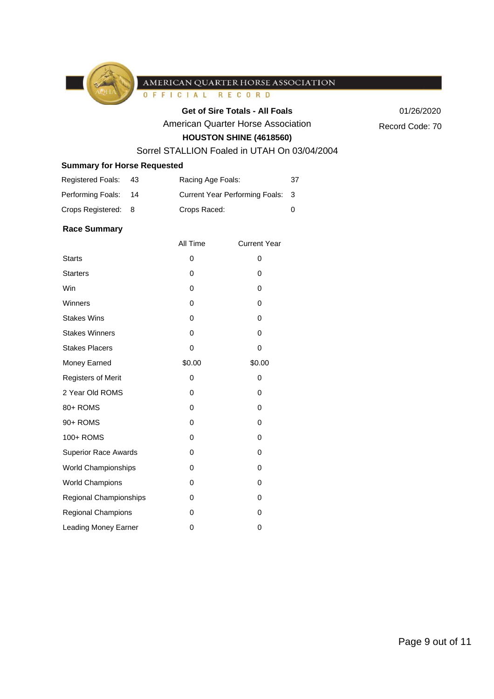

OFFICIAL RECORD

## Get of Sire Totals - All Foals 01/26/2020

American Quarter Horse Association

Record Code: 70

# **HOUSTON SHINE (4618560)**

# Sorrel STALLION Foaled in UTAH On 03/04/2004

# **Summary for Horse Requested**

| <b>Registered Foals:</b> | 43  | Racing Age Foals:                | 37 |
|--------------------------|-----|----------------------------------|----|
| Performing Foals:        | -14 | Current Year Performing Foals: 3 |    |
| Crops Registered: 8      |     | Crops Raced:                     |    |

#### **Race Summary**

|                             | All Time | <b>Current Year</b> |
|-----------------------------|----------|---------------------|
| <b>Starts</b>               | 0        | 0                   |
| <b>Starters</b>             | 0        | 0                   |
| Win                         | 0        | 0                   |
| Winners                     | 0        | 0                   |
| <b>Stakes Wins</b>          | 0        | 0                   |
| <b>Stakes Winners</b>       | 0        | 0                   |
| <b>Stakes Placers</b>       | 0        | 0                   |
| Money Earned                | \$0.00   | \$0.00              |
| <b>Registers of Merit</b>   | 0        | 0                   |
| 2 Year Old ROMS             | 0        | 0                   |
| 80+ ROMS                    | 0        | 0                   |
| 90+ ROMS                    | 0        | 0                   |
| 100+ ROMS                   | 0        | 0                   |
| <b>Superior Race Awards</b> | 0        | 0                   |
| <b>World Championships</b>  | 0        | 0                   |
| <b>World Champions</b>      | 0        | 0                   |
| Regional Championships      | 0        | 0                   |
| <b>Regional Champions</b>   | 0        | 0                   |
| <b>Leading Money Earner</b> | 0        | 0                   |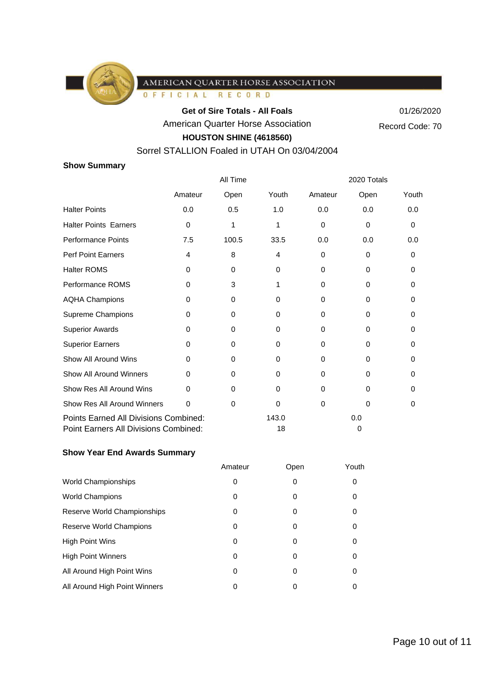

OFFICIAL RECORD

Get of Sire Totals - All Foals 01/26/2020

American Quarter Horse Association

Record Code: 70

# **HOUSTON SHINE (4618560)**

# Sorrel STALLION Foaled in UTAH On 03/04/2004

# **Show Summary**

|                                                                                | All Time |          | 2020 Totals |          |          |          |
|--------------------------------------------------------------------------------|----------|----------|-------------|----------|----------|----------|
|                                                                                | Amateur  | Open     | Youth       | Amateur  | Open     | Youth    |
| <b>Halter Points</b>                                                           | 0.0      | 0.5      | 1.0         | 0.0      | 0.0      | 0.0      |
| <b>Halter Points Earners</b>                                                   | 0        | 1        | 1           | $\Omega$ | $\Omega$ | 0        |
| <b>Performance Points</b>                                                      | 7.5      | 100.5    | 33.5        | 0.0      | 0.0      | 0.0      |
| <b>Perf Point Earners</b>                                                      | 4        | 8        | 4           | $\Omega$ | 0        | 0        |
| <b>Halter ROMS</b>                                                             | 0        | 0        | $\Omega$    | $\Omega$ | 0        | $\Omega$ |
| Performance ROMS                                                               | 0        | 3        | 1           | $\Omega$ | $\Omega$ | 0        |
| <b>AQHA Champions</b>                                                          | 0        | $\Omega$ | 0           | $\Omega$ | 0        | 0        |
| Supreme Champions                                                              | 0        | 0        | 0           | $\Omega$ | $\Omega$ | $\Omega$ |
| <b>Superior Awards</b>                                                         | 0        | 0        | $\Omega$    | $\Omega$ | 0        | 0        |
| <b>Superior Earners</b>                                                        | 0        | $\Omega$ | $\Omega$    | $\Omega$ | $\Omega$ | 0        |
| Show All Around Wins                                                           | $\Omega$ | 0        | $\Omega$    | 0        | $\Omega$ | 0        |
| <b>Show All Around Winners</b>                                                 | $\Omega$ | $\Omega$ | $\Omega$    | $\Omega$ | $\Omega$ | $\Omega$ |
| Show Res All Around Wins                                                       | 0        | 0        | $\Omega$    | $\Omega$ | $\Omega$ | 0        |
| Show Res All Around Winners                                                    | 0        | 0        | 0           | $\Omega$ | $\Omega$ | 0        |
| Points Earned All Divisions Combined:<br>Point Earners All Divisions Combined: |          |          | 143.0<br>18 |          | 0.0<br>0 |          |

# **Show Year End Awards Summary**

|                               | Amateur | Open | Youth |
|-------------------------------|---------|------|-------|
| <b>World Championships</b>    | 0       | 0    | 0     |
| <b>World Champions</b>        | 0       | 0    | 0     |
| Reserve World Championships   | 0       | 0    | 0     |
| Reserve World Champions       | 0       | 0    | 0     |
| <b>High Point Wins</b>        | 0       | 0    | 0     |
| <b>High Point Winners</b>     | 0       | 0    | 0     |
| All Around High Point Wins    | 0       | 0    | 0     |
| All Around High Point Winners | 0       |      | 0     |